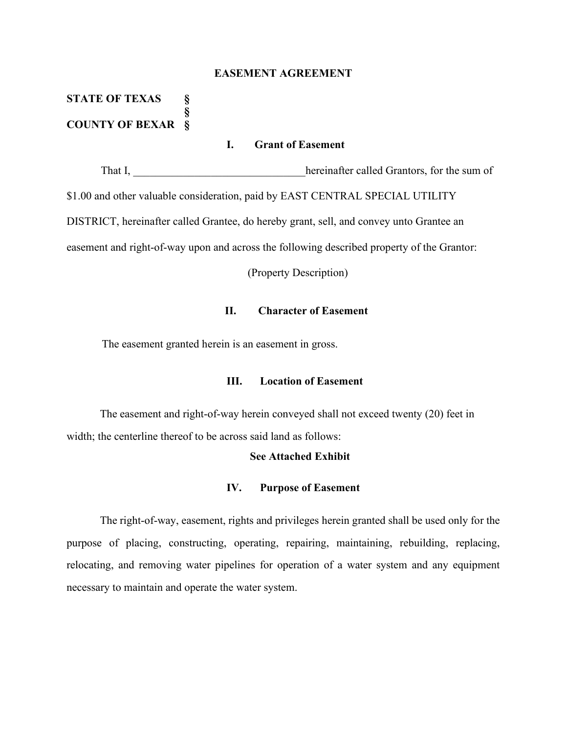#### **EASEMENT AGREEMENT**

# **STATE OF TEXAS § § COUNTY OF BEXAR §**

## **I. Grant of Easement**

That I, the interval extending the equation of the sum of the sum of  $\mathbb{R}^n$ \$1.00 and other valuable consideration, paid by EAST CENTRAL SPECIAL UTILITY DISTRICT, hereinafter called Grantee, do hereby grant, sell, and convey unto Grantee an easement and right-of-way upon and across the following described property of the Grantor:

(Property Description)

## **II. Character of Easement**

The easement granted herein is an easement in gross.

## **III. Location of Easement**

The easement and right-of-way herein conveyed shall not exceed twenty (20) feet in width; the centerline thereof to be across said land as follows:

### **See Attached Exhibit**

#### **IV. Purpose of Easement**

The right-of-way, easement, rights and privileges herein granted shall be used only for the purpose of placing, constructing, operating, repairing, maintaining, rebuilding, replacing, relocating, and removing water pipelines for operation of a water system and any equipment necessary to maintain and operate the water system.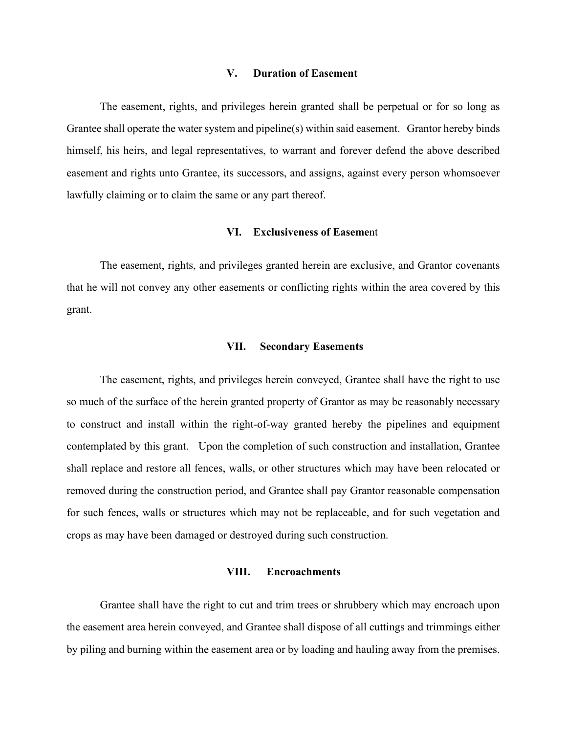#### **V. Duration of Easement**

The easement, rights, and privileges herein granted shall be perpetual or for so long as Grantee shall operate the water system and pipeline(s) within said easement. Grantor hereby binds himself, his heirs, and legal representatives, to warrant and forever defend the above described easement and rights unto Grantee, its successors, and assigns, against every person whomsoever lawfully claiming or to claim the same or any part thereof.

#### **VI. Exclusiveness of Easeme**nt

The easement, rights, and privileges granted herein are exclusive, and Grantor covenants that he will not convey any other easements or conflicting rights within the area covered by this grant.

#### **VII. Secondary Easements**

The easement, rights, and privileges herein conveyed, Grantee shall have the right to use so much of the surface of the herein granted property of Grantor as may be reasonably necessary to construct and install within the right-of-way granted hereby the pipelines and equipment contemplated by this grant. Upon the completion of such construction and installation, Grantee shall replace and restore all fences, walls, or other structures which may have been relocated or removed during the construction period, and Grantee shall pay Grantor reasonable compensation for such fences, walls or structures which may not be replaceable, and for such vegetation and crops as may have been damaged or destroyed during such construction.

### **VIII. Encroachments**

Grantee shall have the right to cut and trim trees or shrubbery which may encroach upon the easement area herein conveyed, and Grantee shall dispose of all cuttings and trimmings either by piling and burning within the easement area or by loading and hauling away from the premises.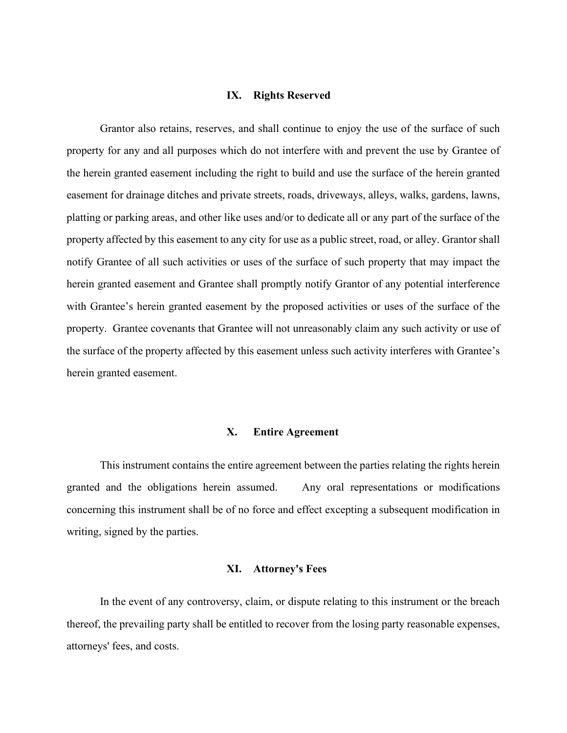#### **IX. Rights Reserved**

Grantor also retains, reserves, and shall continue to enjoy the use of the surface of such property for any and all purposes which do not interfere with and prevent the use by Grantee of the herein granted easement including the right to build and use the surface of the herein granted easement for drainage ditches and private streets, roads, driveways, alleys, walks, gardens, lawns, platting or parking areas, and other like uses and/or to dedicate all or any part of the surface of the property affected by this easement to any city for use as a public street, road, or alley. Grantor shall notify Grantee of all such activities or uses of the surface of such property that may impact the herein granted easement and Grantee shall promptly notify Grantor of any potential interference with Grantee's herein granted easement by the proposed activities or uses of the surface of the property. Grantee covenants that Grantee will not unreasonably claim any such activity or use of the surface of the property affected by this easement unless such activity interferes with Grantee's herein granted easement.

### **X. Entire Agreement**

This instrument contains the entire agreement between the parties relating the rights herein granted and the obligations herein assumed. Any oral representations or modifications concerning this instrument shall be of no force and effect excepting a subsequent modification in writing, signed by the parties.

#### **XI. Attorney's Fees**

In the event of any controversy, claim, or dispute relating to this instrument or the breach thereof, the prevailing party shall be entitled to recover from the losing party reasonable expenses, attorneys' fees, and costs.